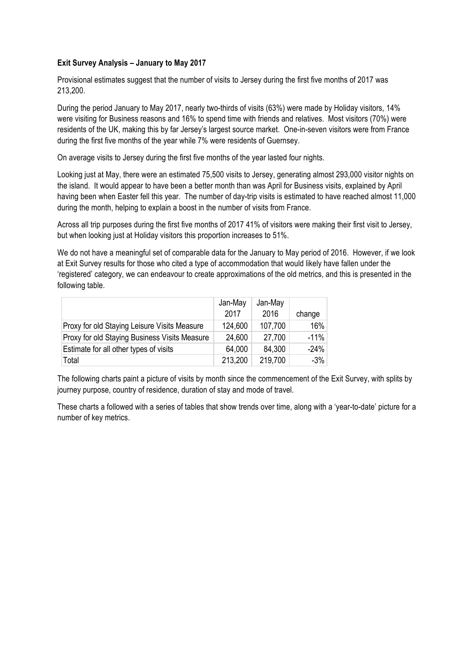#### **Exit Survey Analysis – January to May 2017**

Provisional estimates suggest that the number of visits to Jersey during the first five months of 2017 was 213,200.

During the period January to May 2017, nearly two-thirds of visits (63%) were made by Holiday visitors, 14% were visiting for Business reasons and 16% to spend time with friends and relatives. Most visitors (70%) were residents of the UK, making this by far Jersey's largest source market. One-in-seven visitors were from France during the first five months of the year while 7% were residents of Guernsey.

On average visits to Jersey during the first five months of the year lasted four nights.

Looking just at May, there were an estimated 75,500 visits to Jersey, generating almost 293,000 visitor nights on the island. It would appear to have been a better month than was April for Business visits, explained by April having been when Easter fell this year. The number of day-trip visits is estimated to have reached almost 11,000 during the month, helping to explain a boost in the number of visits from France.

Across all trip purposes during the first five months of 2017 41% of visitors were making their first visit to Jersey, but when looking just at Holiday visitors this proportion increases to 51%.

We do not have a meaningful set of comparable data for the January to May period of 2016. However, if we look at Exit Survey results for those who cited a type of accommodation that would likely have fallen under the 'registered' category, we can endeavour to create approximations of the old metrics, and this is presented in the following table.

|                                               | Jan-May<br>2017 | Jan-May<br>2016 | change |
|-----------------------------------------------|-----------------|-----------------|--------|
| Proxy for old Staying Leisure Visits Measure  | 124,600         | 107,700         | 16%    |
| Proxy for old Staying Business Visits Measure | 24,600          | 27,700          | $-11%$ |
| Estimate for all other types of visits        | 64,000          | 84,300          | $-24%$ |
| Total                                         | 213,200         | 219,700         | $-3%$  |

The following charts paint a picture of visits by month since the commencement of the Exit Survey, with splits by journey purpose, country of residence, duration of stay and mode of travel.

These charts a followed with a series of tables that show trends over time, along with a 'year-to-date' picture for a number of key metrics.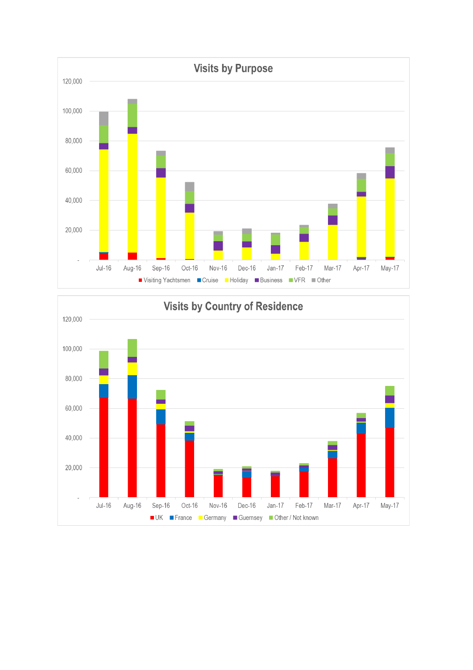

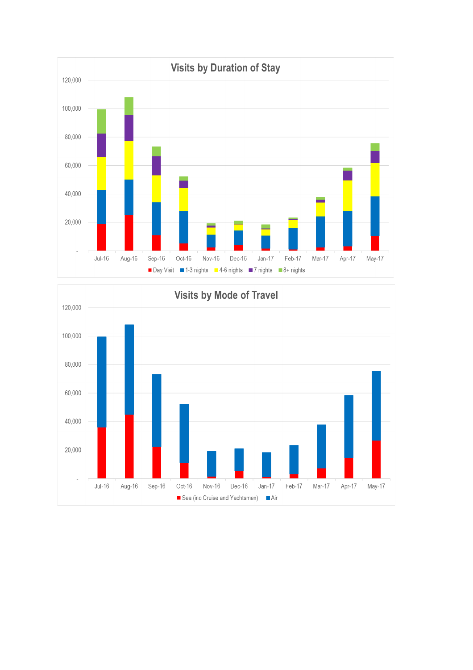

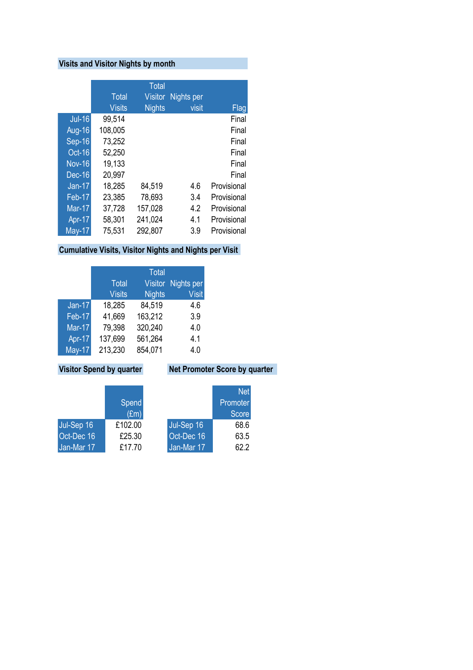# **Visits and Visitor Nights by month**

|               |              | <b>Total</b>   |            |             |
|---------------|--------------|----------------|------------|-------------|
|               | <b>Total</b> | <b>Visitor</b> | Nights per |             |
|               | Visits       | <b>Nights</b>  | visit      | <b>Flag</b> |
| <b>Jul-16</b> | 99,514       |                |            | Final       |
| <b>Aug-16</b> | 108,005      |                |            | Final       |
| Sep-16        | 73,252       |                |            | Final       |
| Oct-16        | 52,250       |                |            | Final       |
| <b>Nov-16</b> | 19,133       |                |            | Final       |
| Dec-16        | 20,997       |                |            | Final       |
| <b>Jan-17</b> | 18,285       | 84,519         | 4.6        | Provisional |
| Feb-17        | 23,385       | 78,693         | 3.4        | Provisional |
| <b>Mar-17</b> | 37,728       | 157,028        | 4.2        | Provisional |
| Apr-17        | 58,301       | 241,024        | 4.1        | Provisional |
| <b>May-17</b> | 75,531       | 292,807        | 3.9        | Provisional |

## **Cumulative Visits, Visitor Nights and Nights per Visit**

|               |               | <b>Total</b>   |              |
|---------------|---------------|----------------|--------------|
|               | <b>Total</b>  | <b>Visitor</b> | Nights per   |
|               | <b>Visits</b> | <b>Nights</b>  | <b>Visit</b> |
| $Jan-17$      | 18,285        | 84,519         | 4.6          |
| Feb-17        | 41,669        | 163,212        | 3.9          |
| <b>Mar-17</b> | 79,398        | 320,240        | 4.0          |
| Apr-17        | 137,699       | 561,264        | 4.1          |
| $May-17$      | 213,230       | 854,071        | 4.0          |

## **Visitor Spend by quarter Net Promoter Score by quarter**

|            |               |            | <b>Net</b> |
|------------|---------------|------------|------------|
|            | <b>Spend</b>  |            | Promoter   |
|            | $(\text{Em})$ |            | Score      |
| Jul-Sep 16 | £102.00       | Jul-Sep 16 | 68.6       |
| Oct-Dec 16 | £25.30        | Oct-Dec 16 | 63.5       |
| Jan-Mar 17 | £17.70        | Jan-Mar 17 | 62.2       |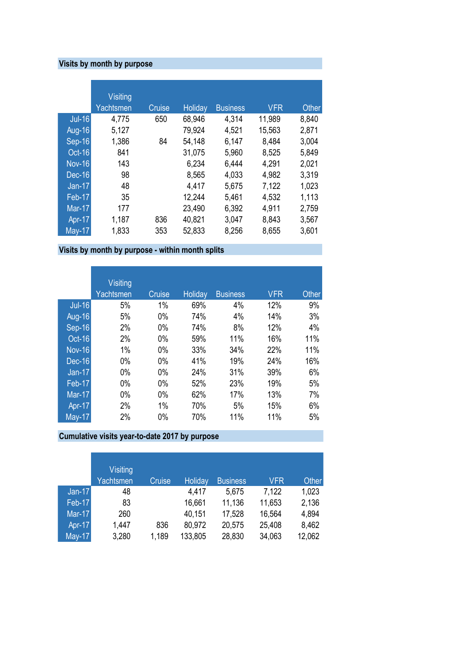# **Visits by month by purpose**

|                            | <b>Visiting</b> |               |                |                 |            |       |
|----------------------------|-----------------|---------------|----------------|-----------------|------------|-------|
|                            | Yachtsmen       | <b>Cruise</b> | <b>Holiday</b> | <b>Business</b> | <b>VFR</b> | Other |
| <b>Jul-16</b>              | 4,775           | 650           | 68,946         | 4,314           | 11,989     | 8,840 |
| Aug-16                     | 5,127           |               | 79,924         | 4,521           | 15,563     | 2,871 |
| $Sep-16$                   | 1,386           | 84            | 54,148         | 6,147           | 8,484      | 3,004 |
| $Oct-16$                   | 841             |               | 31,075         | 5,960           | 8,525      | 5,849 |
| <b>Nov-16</b>              | 143             |               | 6,234          | 6,444           | 4,291      | 2,021 |
| $Dec-16$                   | 98              |               | 8,565          | 4,033           | 4,982      | 3,319 |
| <b>Jan-17</b>              | 48              |               | 4,417          | 5,675           | 7,122      | 1,023 |
| Feb-17                     | 35              |               | 12,244         | 5,461           | 4,532      | 1,113 |
| <b>Mar-17</b>              | 177             |               | 23,490         | 6,392           | 4,911      | 2,759 |
| Apr-17                     | 1,187           | 836           | 40,821         | 3,047           | 8,843      | 3,567 |
| $\overline{\text{May-17}}$ | 1,833           | 353           | 52,833         | 8,256           | 8,655      | 3,601 |

# **Visits by month by purpose - within month splits**

|               | <b>Visiting</b><br>Yachtsmen | Cruise | <b>Holiday</b> | <b>Business</b> | <b>VFR</b> | Other |
|---------------|------------------------------|--------|----------------|-----------------|------------|-------|
| <b>Jul-16</b> | 5%                           | 1%     | 69%            | 4%              | 12%        | 9%    |
| Aug-16        | 5%                           | $0\%$  | 74%            | 4%              | 14%        | 3%    |
| Sep-16        | 2%                           | $0\%$  | 74%            | 8%              | 12%        | 4%    |
| Oct-16        | 2%                           | $0\%$  | 59%            | 11%             | 16%        | 11%   |
| <b>Nov-16</b> | 1%                           | $0\%$  | 33%            | 34%             | 22%        | 11%   |
| <b>Dec-16</b> | 0%                           | $0\%$  | 41%            | 19%             | 24%        | 16%   |
| <b>Jan-17</b> | $0\%$                        | $0\%$  | 24%            | 31%             | 39%        | 6%    |
| Feb-17        | $0\%$                        | $0\%$  | 52%            | 23%             | 19%        | 5%    |
| <b>Mar-17</b> | $0\%$                        | $0\%$  | 62%            | 17%             | 13%        | 7%    |
| Apr-17        | 2%                           | 1%     | 70%            | 5%              | 15%        | 6%    |
| <b>May-17</b> | 2%                           | 0%     | 70%            | 11%             | 11%        | 5%    |

# **Cumulative visits year-to-date 2017 by purpose**

|               | Visiting<br>Yachtsmen | Cruise | <b>Holiday</b> | <b>Business</b> | <b>VFR</b> | <b>Other</b> |
|---------------|-----------------------|--------|----------------|-----------------|------------|--------------|
| $Jan-17$      | 48                    |        | 4,417          | 5,675           | 7,122      | 1,023        |
| Feb-17        | 83                    |        | 16,661         | 11,136          | 11,653     | 2,136        |
| <b>Mar-17</b> | 260                   |        | 40,151         | 17,528          | 16,564     | 4,894        |
| Apr-17        | 1,447                 | 836    | 80,972         | 20,575          | 25,408     | 8,462        |
| <b>May-17</b> | 3,280                 | 1,189  | 133,805        | 28,830          | 34,063     | 12,062       |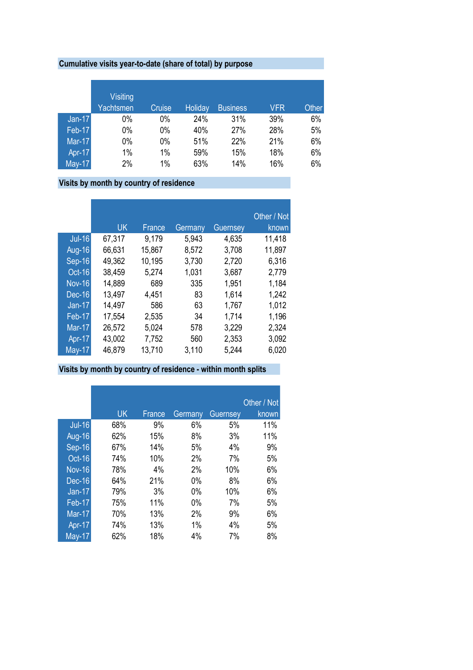## **Cumulative visits year-to-date (share of total) by purpose**

|               | Visiting<br>Yachtsmen | Cruise | <b>Holiday</b> | <b>Business</b> | <b>VFR</b> | Other |
|---------------|-----------------------|--------|----------------|-----------------|------------|-------|
| $Jan-17$      | 0%                    | 0%     | 24%            | 31%             | 39%        | 6%    |
| <b>Feb-17</b> | 0%                    | 0%     | 40%            | 27%             | 28%        | 5%    |
| Mar-17        | 0%                    | 0%     | 51%            | 22%             | 21%        | 6%    |
| Apr-17        | 1%                    | 1%     | 59%            | 15%             | 18%        | 6%    |
| May-17        | 2%                    | 1%     | 63%            | 14%             | 16%        | 6%    |

# **Visits by month by country of residence**

|                            |           |        |         |          | Other / Not |
|----------------------------|-----------|--------|---------|----------|-------------|
|                            | <b>UK</b> | France | Germany | Guernsey | known       |
| <b>Jul-16</b>              | 67,317    | 9,179  | 5,943   | 4,635    | 11,418      |
| Aug-16                     | 66,631    | 15,867 | 8,572   | 3,708    | 11,897      |
| Sep-16                     | 49,362    | 10,195 | 3,730   | 2,720    | 6,316       |
| Oct-16                     | 38,459    | 5,274  | 1,031   | 3,687    | 2,779       |
| <b>Nov-16</b>              | 14,889    | 689    | 335     | 1,951    | 1,184       |
| <b>Dec-16</b>              | 13,497    | 4,451  | 83      | 1,614    | 1,242       |
| $Jan-17$                   | 14,497    | 586    | 63      | 1,767    | 1,012       |
| Feb-17                     | 17,554    | 2,535  | 34      | 1,714    | 1,196       |
| <b>Mar-17</b>              | 26,572    | 5,024  | 578     | 3,229    | 2,324       |
| Apr-17                     | 43,002    | 7,752  | 560     | 2,353    | 3,092       |
| $\overline{\text{May-17}}$ | 46,879    | 13,710 | 3,110   | 5,244    | 6,020       |

### **Visits by month by country of residence - within month splits**

|                            |           |        |         |          | Other / Not |
|----------------------------|-----------|--------|---------|----------|-------------|
|                            | <b>UK</b> | France | Germany | Guernsey | known       |
| <b>Jul-16</b>              | 68%       | 9%     | 6%      | 5%       | 11%         |
| <b>Aug-16</b>              | 62%       | 15%    | 8%      | 3%       | 11%         |
| Sep-16                     | 67%       | 14%    | 5%      | 4%       | 9%          |
| Oct-16                     | 74%       | 10%    | 2%      | 7%       | 5%          |
| <b>Nov-16</b>              | 78%       | 4%     | 2%      | 10%      | 6%          |
| <b>Dec-16</b>              | 64%       | 21%    | 0%      | 8%       | 6%          |
| $Jan-17$                   | 79%       | 3%     | 0%      | 10%      | 6%          |
| Feb-17                     | 75%       | 11%    | 0%      | 7%       | 5%          |
| $\overline{\text{Mar-17}}$ | 70%       | 13%    | 2%      | 9%       | 6%          |
| Apr-17                     | 74%       | 13%    | 1%      | 4%       | 5%          |
| $May-17$                   | 62%       | 18%    | 4%      | 7%       | 8%          |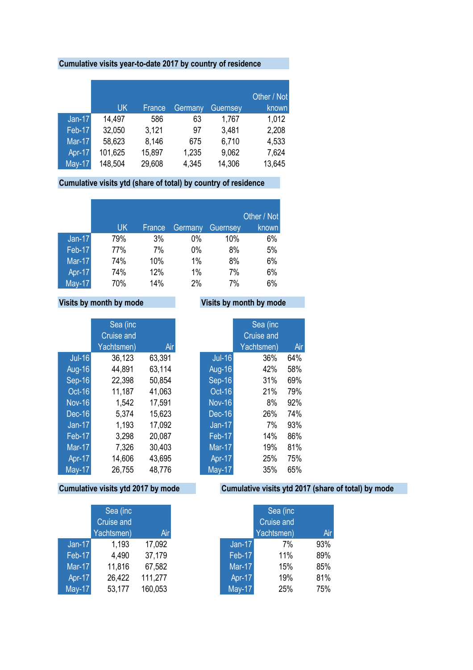### **Cumulative visits year-to-date 2017 by country of residence**

|               | UK      | France | Germany | <b>Guernsey</b> | Other / Not<br>known |
|---------------|---------|--------|---------|-----------------|----------------------|
| $Jan-17$      | 14,497  | 586    | 63      | 1,767           | 1,012                |
| <b>Feb-17</b> | 32,050  | 3,121  | 97      | 3,481           | 2,208                |
| Mar-17        | 58,623  | 8,146  | 675     | 6,710           | 4,533                |
| Apr-17        | 101,625 | 15,897 | 1,235   | 9,062           | 7,624                |
| <b>May-17</b> | 148,504 | 29,608 | 4,345   | 14,306          | 13,645               |

### **Cumulative visits ytd (share of total) by country of residence**

|               |     |        |         |                 | Other / Not |
|---------------|-----|--------|---------|-----------------|-------------|
|               | UK  | France | Germany | <b>Guernsey</b> | known       |
| $Jan-17$      | 79% | 3%     | 0%      | 10%             | 6%          |
| <b>Feb-17</b> | 77% | 7%     | $0\%$   | 8%              | 5%          |
| <b>Mar-17</b> | 74% | 10%    | 1%      | 8%              | 6%          |
| Apr-17        | 74% | 12%    | 1%      | 7%              | 6%          |
| <b>May-17</b> | 70% | 14%    | 2%      | 7%              | 6%          |

## **Visits by month by mode Visits by month by mode**

|               | Sea (inc          |        |               | Sea (inc          |     |
|---------------|-------------------|--------|---------------|-------------------|-----|
|               | <b>Cruise and</b> |        |               | <b>Cruise and</b> |     |
|               | Yachtsmen)        | Air    |               | Yachtsmen)        | Ai  |
| <b>Jul-16</b> | 36,123            | 63,391 | <b>Jul-16</b> | 36%               | 64% |
| <b>Aug-16</b> | 44,891            | 63,114 | <b>Aug-16</b> | 42%               | 58% |
| <b>Sep-16</b> | 22,398            | 50,854 | Sep-16        | 31%               | 69% |
| Oct-16        | 11,187            | 41,063 | Oct-16        | 21%               | 79% |
| <b>Nov-16</b> | 1,542             | 17,591 | <b>Nov-16</b> | 8%                | 92% |
| <b>Dec-16</b> | 5,374             | 15,623 | <b>Dec-16</b> | 26%               | 74% |
| $Jan-17$      | 1,193             | 17,092 | $Jan-17$      | 7%                | 93% |
| Feb-17        | 3,298             | 20,087 | Feb-17        | 14%               | 86% |
| <b>Mar-17</b> | 7,326             | 30,403 | <b>Mar-17</b> | 19%               | 81% |
| Apr-17        | 14,606            | 43,695 | Apr-17        | 25%               | 75% |
| <b>May-17</b> | 26,755            | 48,776 | <b>May-17</b> | 35%               | 65% |

|               | Sea (inc<br><b>Cruise and</b> |         |
|---------------|-------------------------------|---------|
|               | Yachtsmen)                    | Air     |
| $Jan-17$      | 1,193                         | 17,092  |
| Feb-17        | 4,490                         | 37,179  |
| <b>Mar-17</b> | 11,816                        | 67,582  |
| Apr-17        | 26,422                        | 111,277 |
| <b>May-17</b> | 53,177                        | 160,053 |

|               | Sea (inc   |     |
|---------------|------------|-----|
|               | Cruise and |     |
|               | Yachtsmen) | Air |
| <b>Jul-16</b> | 36%        | 64% |
| Aug-16        | 42%        | 58% |
| Sep-16        | 31%        | 69% |
| $Oct-16$      | 21%        | 79% |
| <b>Nov-16</b> | 8%         | 92% |
| Dec-16        | 26%        | 74% |
| $Jan-17$      | 7%         | 93% |
| Feb-17        | 14%        | 86% |
| <b>Mar-17</b> | 19%        | 81% |
| Apr-17        | 25%        | 75% |
| May-17        | 35%        | 65% |
|               |            |     |

## **Cumulative visits ytd 2017 by mode Cumulative visits ytd 2017 (share of total) by mode**

|               | Sea (inc<br>Cruise and |         |               | Sea (inc<br>Cruise and |     |
|---------------|------------------------|---------|---------------|------------------------|-----|
|               | Yachtsmen)             | Air     |               | Yachtsmen)             | Air |
| $Jan-17$      | 1,193                  | 17,092  | $Jan-17$      | 7%                     | 93% |
| <b>Feb-17</b> | 4,490                  | 37,179  | Feb-17        | 11%                    | 89% |
| Mar-17        | 11,816                 | 67,582  | <b>Mar-17</b> | 15%                    | 85% |
| Apr-17        | 26,422                 | 111,277 | Apr-17        | 19%                    | 81% |
| May-17        | 53,177                 | 160,053 | <b>May-17</b> | 25%                    | 75% |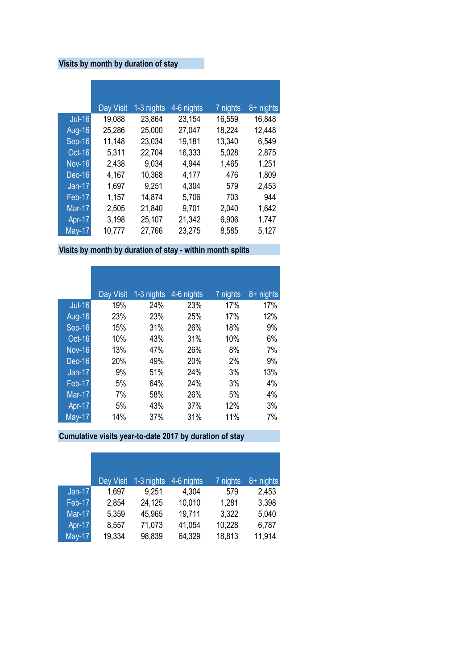## **Visits by month by duration of stay**

|               | Day Visit | 1-3 nights | 4-6 nights | 7 nights | 8+ nights |
|---------------|-----------|------------|------------|----------|-----------|
| <b>Jul-16</b> | 19,088    | 23,864     | 23,154     | 16,559   | 16,848    |
| <b>Aug-16</b> | 25,286    | 25,000     | 27,047     | 18,224   | 12,448    |
| Sep-16        | 11,148    | 23,034     | 19,181     | 13,340   | 6,549     |
| Oct-16        | 5,311     | 22,704     | 16,333     | 5,028    | 2,875     |
| <b>Nov-16</b> | 2,438     | 9,034      | 4,944      | 1,465    | 1,251     |
| <b>Dec-16</b> | 4,167     | 10,368     | 4,177      | 476      | 1,809     |
| $Jan-17$      | 1,697     | 9,251      | 4,304      | 579      | 2,453     |
| Feb-17        | 1,157     | 14,874     | 5,706      | 703      | 944       |
| <b>Mar-17</b> | 2,505     | 21,840     | 9,701      | 2,040    | 1,642     |
| Apr-17        | 3,198     | 25,107     | 21,342     | 6,906    | 1,747     |
| <b>May-17</b> | 10,777    | 27,766     | 23,275     | 8,585    | 5,127     |

**Visits by month by duration of stay - within month splits**

|               | Day Visit | 1-3 nights | $4-6$ nights | 7 nights | 8+ nights |
|---------------|-----------|------------|--------------|----------|-----------|
| $Jul-16$      | 19%       | 24%        | 23%          | 17%      | 17%       |
| <b>Aug-16</b> | 23%       | 23%        | 25%          | 17%      | 12%       |
| Sep-16        | 15%       | 31%        | 26%          | 18%      | 9%        |
| Oct-16        | 10%       | 43%        | 31%          | 10%      | 6%        |
| <b>Nov-16</b> | 13%       | 47%        | 26%          | 8%       | 7%        |
| <b>Dec-16</b> | 20%       | 49%        | 20%          | 2%       | 9%        |
| $Jan-17$      | 9%        | 51%        | 24%          | 3%       | 13%       |
| Feb-17        | 5%        | 64%        | 24%          | 3%       | 4%        |
| <b>Mar-17</b> | 7%        | 58%        | 26%          | 5%       | 4%        |
| Apr-17        | 5%        | 43%        | 37%          | 12%      | 3%        |
| <b>May-17</b> | 14%       | 37%        | 31%          | 11%      | 7%        |

**Cumulative visits year-to-date 2017 by duration of stay**

|               | Day Visit | 1-3 nights | 4-6 nights | 7 nights | 8+ nights |
|---------------|-----------|------------|------------|----------|-----------|
| $Jan-17$      | 1,697     | 9,251      | 4,304      | 579      | 2,453     |
| <b>Feb-17</b> | 2,854     | 24,125     | 10,010     | 1,281    | 3,398     |
| Mar-17        | 5,359     | 45,965     | 19,711     | 3,322    | 5,040     |
| Apr-17        | 8,557     | 71,073     | 41,054     | 10,228   | 6,787     |
| May-17        | 19,334    | 98,839     | 64,329     | 18,813   | 11,914    |